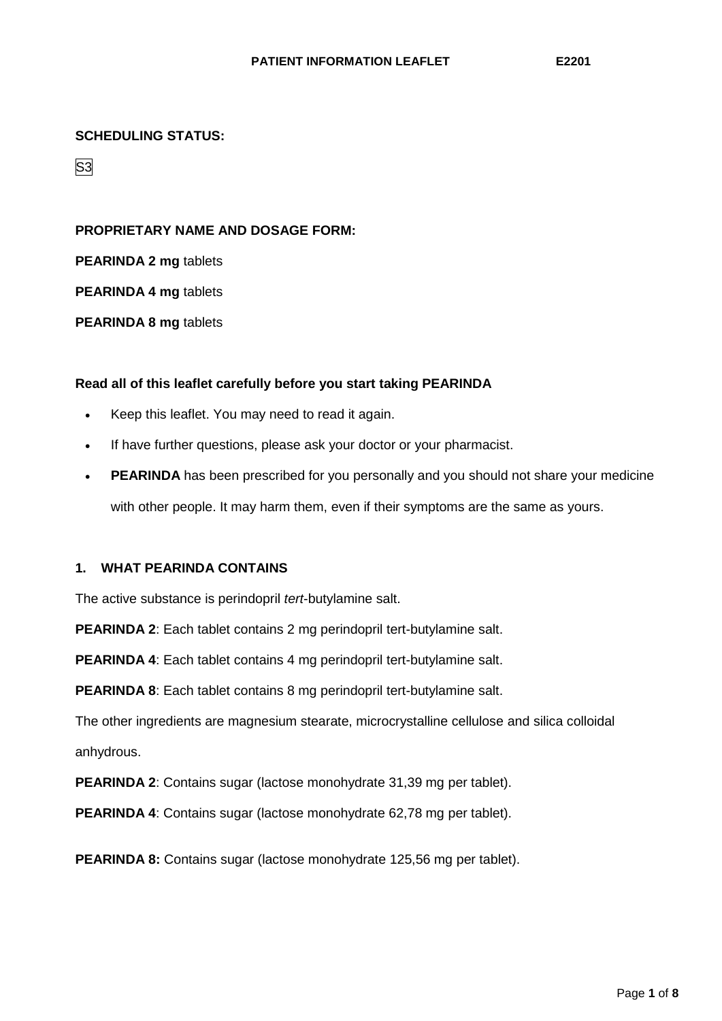### **SCHEDULING STATUS:**

S3

### **PROPRIETARY NAME AND DOSAGE FORM:**

**PEARINDA 2 mg** tablets

**PEARINDA 4 mg** tablets

**PEARINDA 8 mg** tablets

## **Read all of this leaflet carefully before you start taking PEARINDA**

- Keep this leaflet. You may need to read it again.
- If have further questions, please ask your doctor or your pharmacist.
- **PEARINDA** has been prescribed for you personally and you should not share your medicine with other people. It may harm them, even if their symptoms are the same as yours.

# **1. WHAT PEARINDA CONTAINS**

The active substance is perindopril *tert*-butylamine salt.

**PEARINDA 2**: Each tablet contains 2 mg perindopril tert-butylamine salt.

**PEARINDA 4**: Each tablet contains 4 mg perindopril tert-butylamine salt.

**PEARINDA 8**: Each tablet contains 8 mg perindopril tert-butylamine salt.

The other ingredients are magnesium stearate, microcrystalline cellulose and silica colloidal anhydrous.

**PEARINDA 2**: Contains sugar (lactose monohydrate 31,39 mg per tablet).

**PEARINDA 4**: Contains sugar (lactose monohydrate 62,78 mg per tablet).

**PEARINDA 8:** Contains sugar (lactose monohydrate 125,56 mg per tablet).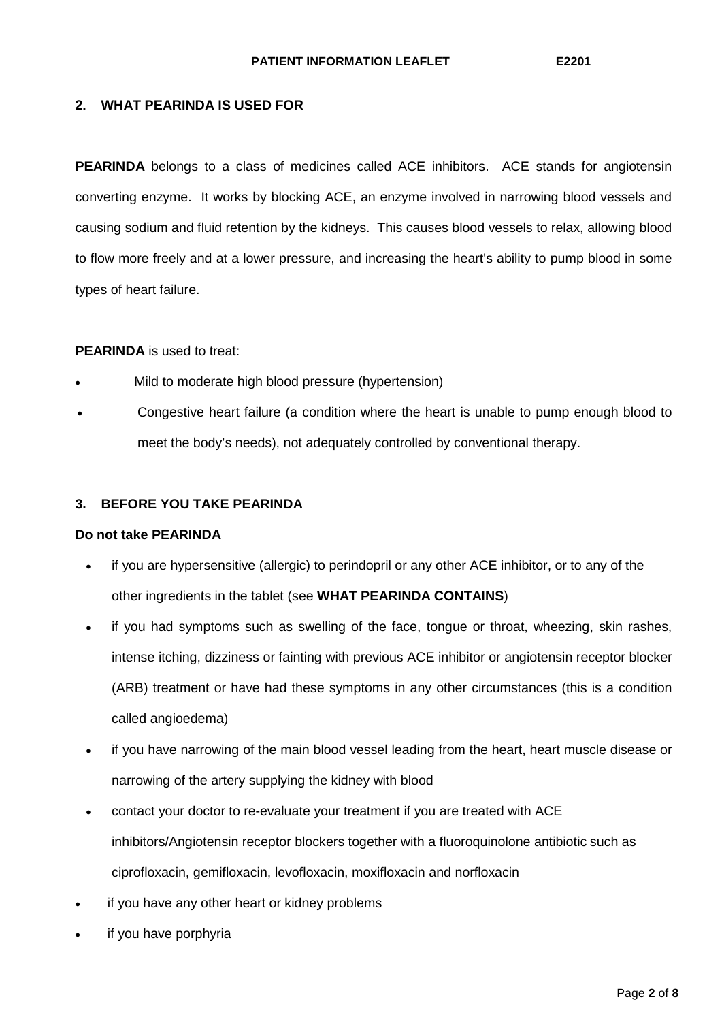# **2. WHAT PEARINDA IS USED FOR**

**PEARINDA** belongs to a class of medicines called ACE inhibitors. ACE stands for angiotensin converting enzyme. It works by blocking ACE, an enzyme involved in narrowing blood vessels and causing sodium and fluid retention by the kidneys. This causes blood vessels to relax, allowing blood to flow more freely and at a lower pressure, and increasing the heart's ability to pump blood in some types of heart failure.

### **PEARINDA** is used to treat:

- Mild to moderate high blood pressure (hypertension)
- Congestive heart failure (a condition where the heart is unable to pump enough blood to meet the body's needs), not adequately controlled by conventional therapy.

#### **3. BEFORE YOU TAKE PEARINDA**

#### **Do not take PEARINDA**

- if you are hypersensitive (allergic) to perindopril or any other ACE inhibitor, or to any of the other ingredients in the tablet (see **WHAT PEARINDA CONTAINS**)
- if you had symptoms such as swelling of the face, tongue or throat, wheezing, skin rashes, intense itching, dizziness or fainting with previous ACE inhibitor or angiotensin receptor blocker (ARB) treatment or have had these symptoms in any other circumstances (this is a condition called angioedema)
- if you have narrowing of the main blood vessel leading from the heart, heart muscle disease or narrowing of the artery supplying the kidney with blood
- contact your doctor to re-evaluate your treatment if you are treated with ACE inhibitors/Angiotensin receptor blockers together with a fluoroquinolone antibiotic such as ciprofloxacin, gemifloxacin, levofloxacin, moxifloxacin and norfloxacin
- if you have any other heart or kidney problems
- if you have porphyria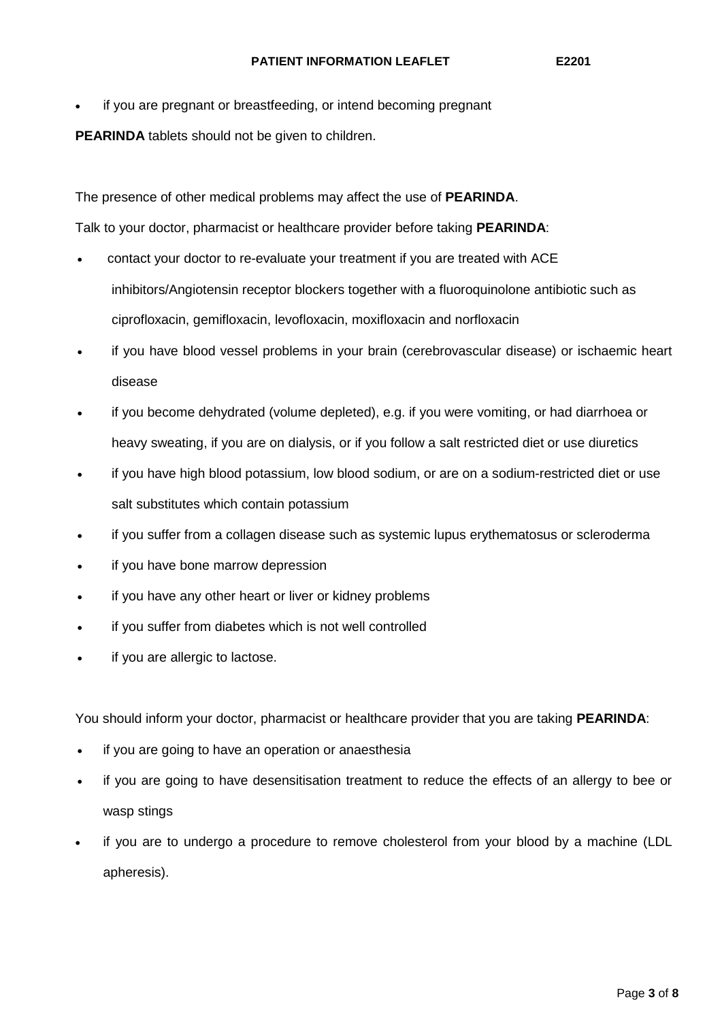if you are pregnant or breastfeeding, or intend becoming pregnant

**PEARINDA** tablets should not be given to children.

The presence of other medical problems may affect the use of **PEARINDA**.

Talk to your doctor, pharmacist or healthcare provider before taking **PEARINDA**:

- contact your doctor to re-evaluate your treatment if you are treated with ACE inhibitors/Angiotensin receptor blockers together with a fluoroquinolone antibiotic such as ciprofloxacin, gemifloxacin, levofloxacin, moxifloxacin and norfloxacin
- if you have blood vessel problems in your brain (cerebrovascular disease) or ischaemic heart disease
- if you become dehydrated (volume depleted), e.g. if you were vomiting, or had diarrhoea or heavy sweating, if you are on dialysis, or if you follow a salt restricted diet or use diuretics
- if you have high blood potassium, low blood sodium, or are on a sodium-restricted diet or use salt substitutes which contain potassium
- if you suffer from a collagen disease such as systemic lupus erythematosus or scleroderma
- if you have bone marrow depression
- if you have any other heart or liver or kidney problems
- if you suffer from diabetes which is not well controlled
- if you are allergic to lactose.

You should inform your doctor, pharmacist or healthcare provider that you are taking **PEARINDA**:

- if you are going to have an operation or anaesthesia
- if you are going to have desensitisation treatment to reduce the effects of an allergy to bee or wasp stings
- if you are to undergo a procedure to remove cholesterol from your blood by a machine (LDL apheresis).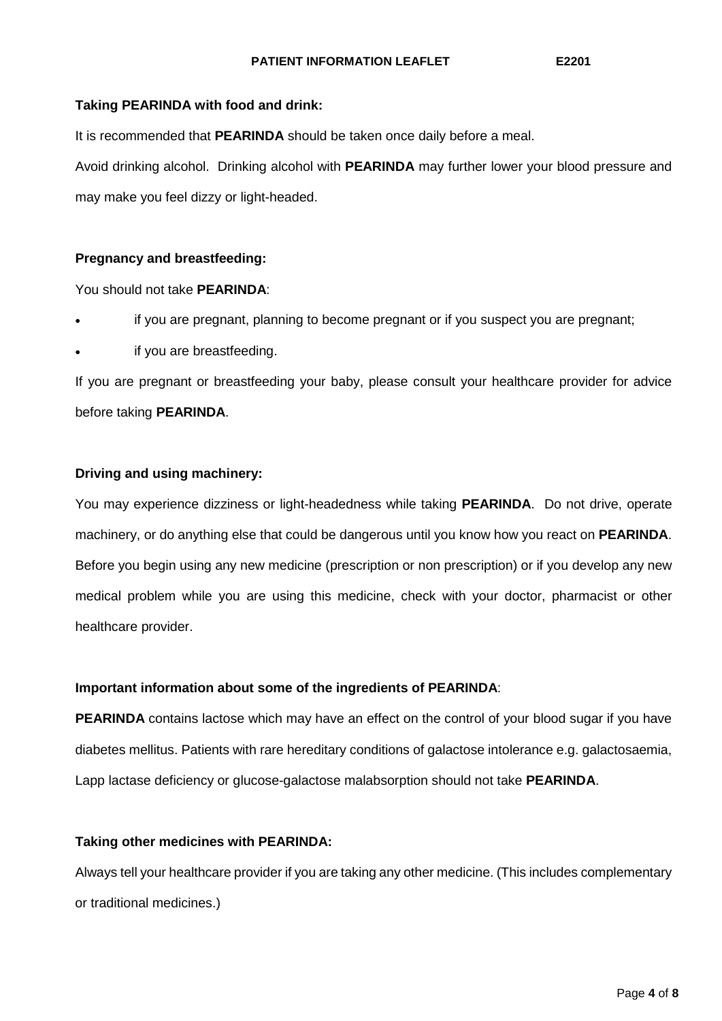# **Taking PEARINDA with food and drink:**

It is recommended that **PEARINDA** should be taken once daily before a meal. Avoid drinking alcohol. Drinking alcohol with **PEARINDA** may further lower your blood pressure and may make you feel dizzy or light-headed.

## **Pregnancy and breastfeeding:**

You should not take **PEARINDA**:

- if you are pregnant, planning to become pregnant or if you suspect you are pregnant;
- if you are breastfeeding.

If you are pregnant or breastfeeding your baby, please consult your healthcare provider for advice before taking **PEARINDA**.

## **Driving and using machinery:**

You may experience dizziness or light-headedness while taking **PEARINDA**. Do not drive, operate machinery, or do anything else that could be dangerous until you know how you react on **PEARINDA**. Before you begin using any new medicine (prescription or non prescription) or if you develop any new medical problem while you are using this medicine, check with your doctor, pharmacist or other healthcare provider.

### **Important information about some of the ingredients of PEARINDA**:

**PEARINDA** contains lactose which may have an effect on the control of your blood sugar if you have diabetes mellitus. Patients with rare hereditary conditions of galactose intolerance e.g. galactosaemia, Lapp lactase deficiency or glucose-galactose malabsorption should not take **PEARINDA**.

### **Taking other medicines with PEARINDA:**

Always tell your healthcare provider if you are taking any other medicine. (This includes complementary or traditional medicines.)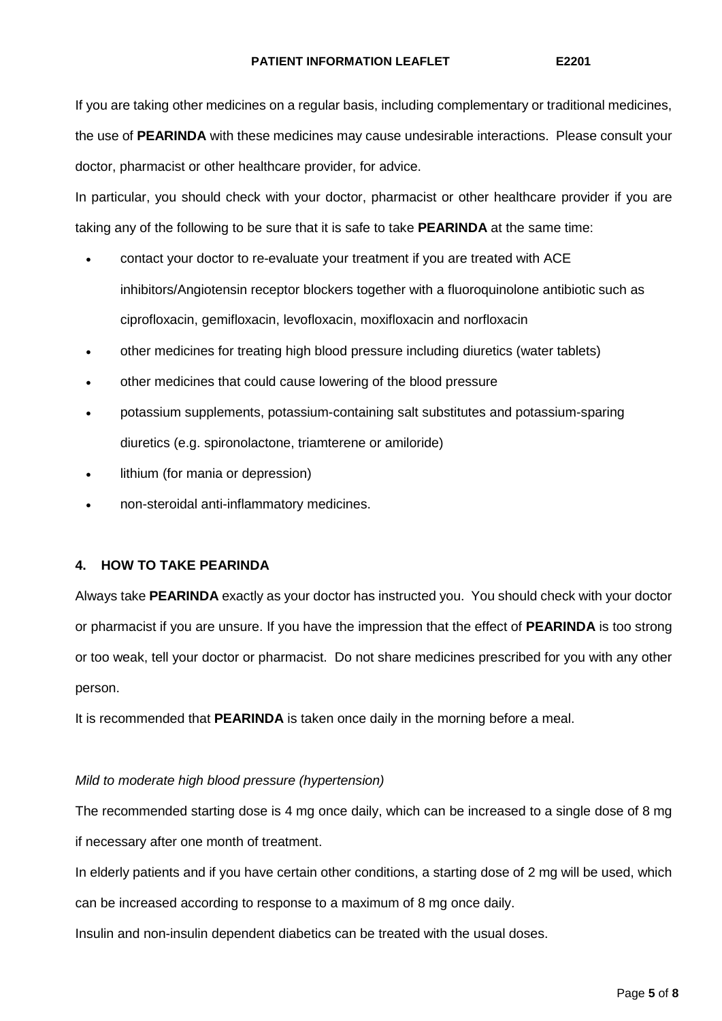If you are taking other medicines on a regular basis, including complementary or traditional medicines, the use of **PEARINDA** with these medicines may cause undesirable interactions. Please consult your doctor, pharmacist or other healthcare provider, for advice.

In particular, you should check with your doctor, pharmacist or other healthcare provider if you are taking any of the following to be sure that it is safe to take **PEARINDA** at the same time:

- contact your doctor to re-evaluate your treatment if you are treated with ACE inhibitors/Angiotensin receptor blockers together with a fluoroquinolone antibiotic such as ciprofloxacin, gemifloxacin, levofloxacin, moxifloxacin and norfloxacin
- other medicines for treating high blood pressure including diuretics (water tablets)
- other medicines that could cause lowering of the blood pressure
- potassium supplements, potassium-containing salt substitutes and potassium-sparing diuretics (e.g. spironolactone, triamterene or amiloride)
- lithium (for mania or depression)
- non-steroidal anti-inflammatory medicines.

# **4. HOW TO TAKE PEARINDA**

Always take **PEARINDA** exactly as your doctor has instructed you. You should check with your doctor or pharmacist if you are unsure. If you have the impression that the effect of **PEARINDA** is too strong or too weak, tell your doctor or pharmacist. Do not share medicines prescribed for you with any other person.

It is recommended that **PEARINDA** is taken once daily in the morning before a meal.

### *Mild to moderate high blood pressure (hypertension)*

The recommended starting dose is 4 mg once daily, which can be increased to a single dose of 8 mg if necessary after one month of treatment.

In elderly patients and if you have certain other conditions, a starting dose of 2 mg will be used, which can be increased according to response to a maximum of 8 mg once daily.

Insulin and non-insulin dependent diabetics can be treated with the usual doses.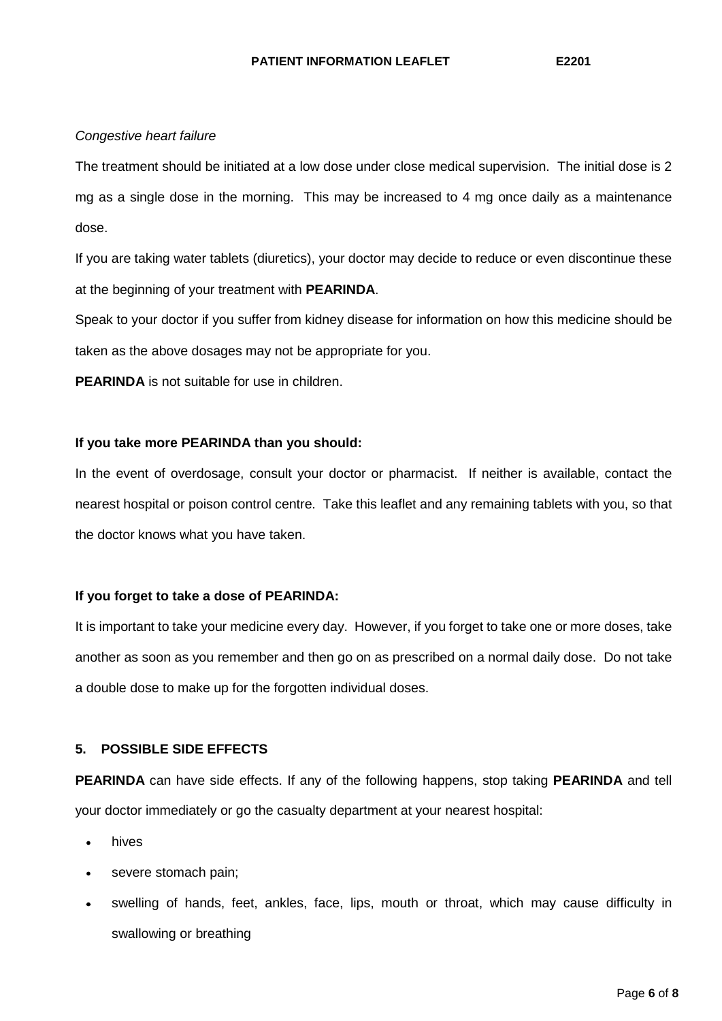### *Congestive heart failure*

The treatment should be initiated at a low dose under close medical supervision. The initial dose is 2 mg as a single dose in the morning. This may be increased to 4 mg once daily as a maintenance dose.

If you are taking water tablets (diuretics), your doctor may decide to reduce or even discontinue these at the beginning of your treatment with **PEARINDA**.

Speak to your doctor if you suffer from kidney disease for information on how this medicine should be taken as the above dosages may not be appropriate for you.

**PEARINDA** is not suitable for use in children.

## **If you take more PEARINDA than you should:**

In the event of overdosage, consult your doctor or pharmacist. If neither is available, contact the nearest hospital or poison control centre. Take this leaflet and any remaining tablets with you, so that the doctor knows what you have taken.

### **If you forget to take a dose of PEARINDA:**

It is important to take your medicine every day. However, if you forget to take one or more doses, take another as soon as you remember and then go on as prescribed on a normal daily dose. Do not take a double dose to make up for the forgotten individual doses.

# **5. POSSIBLE SIDE EFFECTS**

**PEARINDA** can have side effects. If any of the following happens, stop taking **PEARINDA** and tell your doctor immediately or go the casualty department at your nearest hospital:

- hives
- severe stomach pain;
- swelling of hands, feet, ankles, face, lips, mouth or throat, which may cause difficulty in swallowing or breathing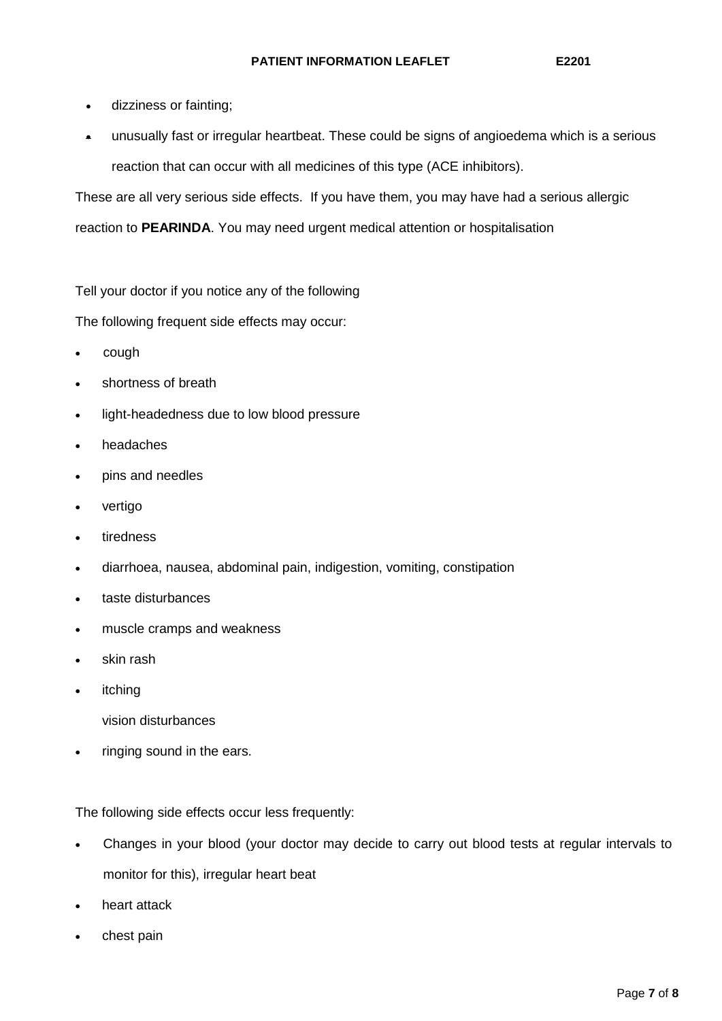- dizziness or fainting;
- unusually fast or irregular heartbeat. These could be signs of angioedema which is a serious reaction that can occur with all medicines of this type (ACE inhibitors).

These are all very serious side effects. If you have them, you may have had a serious allergic

reaction to **PEARINDA**. You may need urgent medical attention or hospitalisation

Tell your doctor if you notice any of the following

The following frequent side effects may occur:

- cough
- shortness of breath
- light-headedness due to low blood pressure
- headaches
- pins and needles
- vertigo
- **tiredness**
- diarrhoea, nausea, abdominal pain, indigestion, vomiting, constipation
- taste disturbances
- muscle cramps and weakness
- skin rash
- **itching** 
	- vision disturbances
- ringing sound in the ears.

The following side effects occur less frequently:

- Changes in your blood (your doctor may decide to carry out blood tests at regular intervals to monitor for this), irregular heart beat
- heart attack
- chest pain